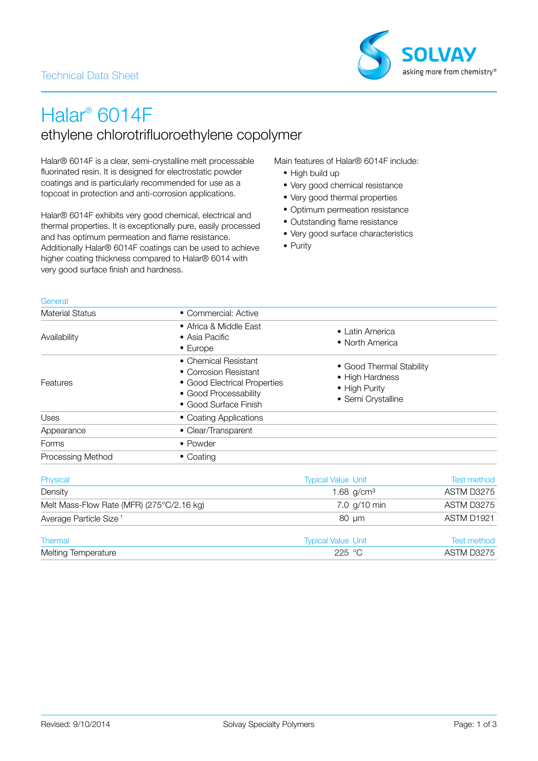

# Halar® 6014F ethylene chlorotrifluoroethylene copolymer

Halar® 6014F is a clear, semi-crystalline melt processable fluorinated resin. It is designed for electrostatic powder coatings and is particularly recommended for use as a topcoat in protection and anti-corrosion applications.

Halar® 6014F exhibits very good chemical, electrical and thermal properties. It is exceptionally pure, easily processed and has optimum permeation and flame resistance. Additionally Halar® 6014F coatings can be used to achieve higher coating thickness compared to Halar® 6014 with very good surface finish and hardness.

Main features of Halar® 6014F include:

- High build up
- Very good chemical resistance
- Very good thermal properties
- Optimum permeation resistance
- Outstanding flame resistance
- Very good surface characteristics
- Purity

| - 1<br>٠.<br>۰. | ٦ | and the contract<br>× |
|-----------------|---|-----------------------|

| <b>Material Status</b>   | • Commercial: Active                                                                                                            |                                                                                    |
|--------------------------|---------------------------------------------------------------------------------------------------------------------------------|------------------------------------------------------------------------------------|
| Availability             | • Africa & Middle East<br>$\bullet$ Asia Pacific<br>$\bullet$ Europe                                                            | • Latin America<br>• North America                                                 |
| Features                 | • Chemical Resistant<br>• Corrosion Resistant<br>• Good Electrical Properties<br>• Good Processability<br>• Good Surface Finish | • Good Thermal Stability<br>• High Hardness<br>• High Purity<br>• Semi Crystalline |
| <b>Uses</b>              | • Coating Applications                                                                                                          |                                                                                    |
| Appearance               | • Clear/Transparent                                                                                                             |                                                                                    |
| Forms                    | $\bullet$ Powder                                                                                                                |                                                                                    |
| <b>Processing Method</b> | $\bullet$ Coating                                                                                                               |                                                                                    |

| Physical                                  | <b>Typical Value Unit</b> | <b>Test method</b>     |
|-------------------------------------------|---------------------------|------------------------|
| Density                                   | 1.68 $q/cm3$              | ASTM D3275             |
| Melt Mass-Flow Rate (MFR) (275°C/2.16 kg) | 7.0 g/10 min              | ASTM D3275             |
| Average Particle Size <sup>1</sup>        | 80 um                     | ASTM D <sub>1921</sub> |
| Thermal                                   | <b>Typical Value Unit</b> | <b>Test method</b>     |
| <b>Melting Temperature</b>                | 225 °C                    | ASTM D3275             |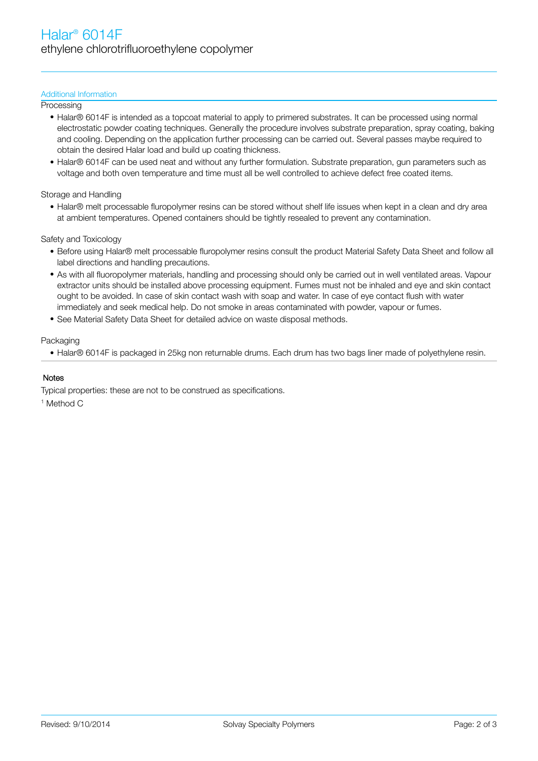### Additional Information

**Processing** 

- Halar® 6014F is intended as a topcoat material to apply to primered substrates. It can be processed using normal electrostatic powder coating techniques. Generally the procedure involves substrate preparation, spray coating, baking and cooling. Depending on the application further processing can be carried out. Several passes maybe required to obtain the desired Halar load and build up coating thickness.
- Halar® 6014F can be used neat and without any further formulation. Substrate preparation, gun parameters such as voltage and both oven temperature and time must all be well controlled to achieve defect free coated items.

## Storage and Handling

• Halar® melt processable fluropolymer resins can be stored without shelf life issues when kept in a clean and dry area at ambient temperatures. Opened containers should be tightly resealed to prevent any contamination.

#### Safety and Toxicology

- Before using Halar® melt processable fluropolymer resins consult the product Material Safety Data Sheet and follow all label directions and handling precautions.
- As with all fluoropolymer materials, handling and processing should only be carried out in well ventilated areas. Vapour extractor units should be installed above processing equipment. Fumes must not be inhaled and eye and skin contact ought to be avoided. In case of skin contact wash with soap and water. In case of eye contact flush with water immediately and seek medical help. Do not smoke in areas contaminated with powder, vapour or fumes.
- See Material Safety Data Sheet for detailed advice on waste disposal methods.

#### Packaging

• Halar® 6014F is packaged in 25kg non returnable drums. Each drum has two bags liner made of polyethylene resin.

#### **Notes**

Typical properties: these are not to be construed as specifications.

1 Method C